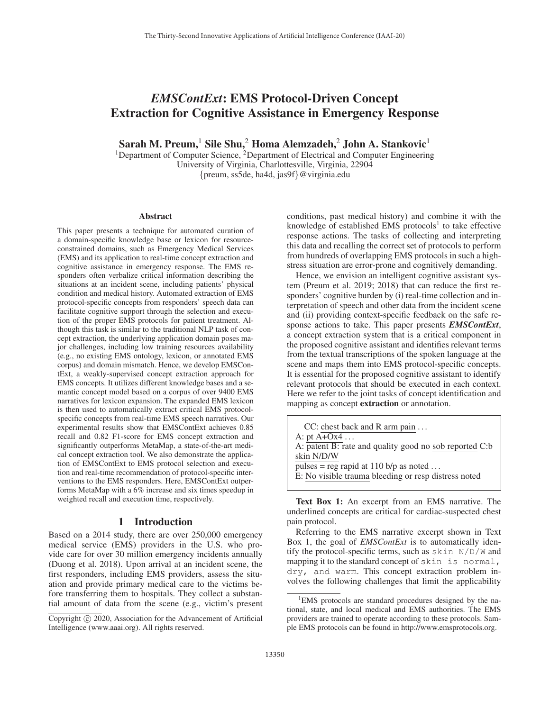# *EMSContExt*: EMS Protocol-Driven Concept Extraction for Cognitive Assistance in Emergency Response

Sarah M. Preum,<sup>1</sup> Sile Shu,<sup>2</sup> Homa Alemzadeh,<sup>2</sup> John A. Stankovic<sup>1</sup>

<sup>1</sup>Department of Computer Science, <sup>2</sup>Department of Electrical and Computer Engineering University of Virginia, Charlottesville, Virginia, 22904 {preum, ss5de, ha4d, jas9f}@virginia.edu

#### Abstract

This paper presents a technique for automated curation of a domain-specific knowledge base or lexicon for resourceconstrained domains, such as Emergency Medical Services (EMS) and its application to real-time concept extraction and cognitive assistance in emergency response. The EMS responders often verbalize critical information describing the situations at an incident scene, including patients' physical condition and medical history. Automated extraction of EMS protocol-specific concepts from responders' speech data can facilitate cognitive support through the selection and execution of the proper EMS protocols for patient treatment. Although this task is similar to the traditional NLP task of concept extraction, the underlying application domain poses major challenges, including low training resources availability (e.g., no existing EMS ontology, lexicon, or annotated EMS corpus) and domain mismatch. Hence, we develop EMSContExt, a weakly-supervised concept extraction approach for EMS concepts. It utilizes different knowledge bases and a semantic concept model based on a corpus of over 9400 EMS narratives for lexicon expansion. The expanded EMS lexicon is then used to automatically extract critical EMS protocolspecific concepts from real-time EMS speech narratives. Our experimental results show that EMSContExt achieves 0.85 recall and 0.82 F1-score for EMS concept extraction and significantly outperforms MetaMap, a state-of-the-art medical concept extraction tool. We also demonstrate the application of EMSContExt to EMS protocol selection and execution and real-time recommendation of protocol-specific interventions to the EMS responders. Here, EMSContExt outperforms MetaMap with a 6% increase and six times speedup in weighted recall and execution time, respectively.

#### 1 Introduction

Based on a 2014 study, there are over 250,000 emergency medical service (EMS) providers in the U.S. who provide care for over 30 million emergency incidents annually (Duong et al. 2018). Upon arrival at an incident scene, the first responders, including EMS providers, assess the situation and provide primary medical care to the victims before transferring them to hospitals. They collect a substantial amount of data from the scene (e.g., victim's present

conditions, past medical history) and combine it with the knowledge of established EMS protocols<sup>1</sup> to take effective response actions. The tasks of collecting and interpreting this data and recalling the correct set of protocols to perform from hundreds of overlapping EMS protocols in such a highstress situation are error-prone and cognitively demanding.

Hence, we envision an intelligent cognitive assistant system (Preum et al. 2019; 2018) that can reduce the first responders' cognitive burden by (i) real-time collection and interpretation of speech and other data from the incident scene and (ii) providing context-specific feedback on the safe response actions to take. This paper presents *EMSContExt*, a concept extraction system that is a critical component in the proposed cognitive assistant and identifies relevant terms from the textual transcriptions of the spoken language at the scene and maps them into EMS protocol-specific concepts. It is essential for the proposed cognitive assistant to identify relevant protocols that should be executed in each context. Here we refer to the joint tasks of concept identification and mapping as concept extraction or annotation.

Text Box 1: An excerpt from an EMS narrative. The underlined concepts are critical for cardiac-suspected chest pain protocol.

Referring to the EMS narrative excerpt shown in Text Box 1, the goal of *EMSContExt* is to automatically identify the protocol-specific terms, such as  $\sin N/D/W$  and mapping it to the standard concept of skin is normal, dry, and warm. This concept extraction problem involves the following challenges that limit the applicability

Copyright  $\odot$  2020, Association for the Advancement of Artificial Intelligence (www.aaai.org). All rights reserved.

<sup>&</sup>lt;sup>1</sup>EMS protocols are standard procedures designed by the national, state, and local medical and EMS authorities. The EMS providers are trained to operate according to these protocols. Sample EMS protocols can be found in http://www.emsprotocols.org.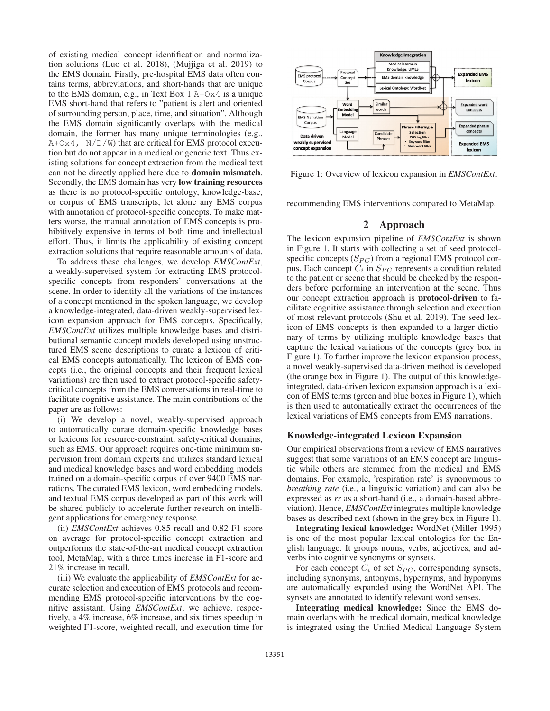of existing medical concept identification and normalization solutions (Luo et al. 2018), (Mujjiga et al. 2019) to the EMS domain. Firstly, pre-hospital EMS data often contains terms, abbreviations, and short-hands that are unique to the EMS domain, e.g., in Text Box 1 A+Ox4 is a unique EMS short-hand that refers to "patient is alert and oriented of surrounding person, place, time, and situation". Although the EMS domain significantly overlaps with the medical domain, the former has many unique terminologies (e.g.,  $A+Ox4$ ,  $N/D/W$ ) that are critical for EMS protocol execution but do not appear in a medical or generic text. Thus existing solutions for concept extraction from the medical text can not be directly applied here due to domain mismatch. Secondly, the EMS domain has very low training resources as there is no protocol-specific ontology, knowledge-base, or corpus of EMS transcripts, let alone any EMS corpus with annotation of protocol-specific concepts. To make matters worse, the manual annotation of EMS concepts is prohibitively expensive in terms of both time and intellectual effort. Thus, it limits the applicability of existing concept extraction solutions that require reasonable amounts of data.

To address these challenges, we develop *EMSContExt*, a weakly-supervised system for extracting EMS protocolspecific concepts from responders' conversations at the scene. In order to identify all the variations of the instances of a concept mentioned in the spoken language, we develop a knowledge-integrated, data-driven weakly-supervised lexicon expansion approach for EMS concepts. Specifically, *EMSContExt* utilizes multiple knowledge bases and distributional semantic concept models developed using unstructured EMS scene descriptions to curate a lexicon of critical EMS concepts automatically. The lexicon of EMS concepts (i.e., the original concepts and their frequent lexical variations) are then used to extract protocol-specific safetycritical concepts from the EMS conversations in real-time to facilitate cognitive assistance. The main contributions of the paper are as follows:

(i) We develop a novel, weakly-supervised approach to automatically curate domain-specific knowledge bases or lexicons for resource-constraint, safety-critical domains, such as EMS. Our approach requires one-time minimum supervision from domain experts and utilizes standard lexical and medical knowledge bases and word embedding models trained on a domain-specific corpus of over 9400 EMS narrations. The curated EMS lexicon, word embedding models, and textual EMS corpus developed as part of this work will be shared publicly to accelerate further research on intelligent applications for emergency response.

(ii) *EMSContExt* achieves 0.85 recall and 0.82 F1-score on average for protocol-specific concept extraction and outperforms the state-of-the-art medical concept extraction tool, MetaMap, with a three times increase in F1-score and 21% increase in recall.

(iii) We evaluate the applicability of *EMSContExt* for accurate selection and execution of EMS protocols and recommending EMS protocol-specific interventions by the cognitive assistant. Using *EMSContExt*, we achieve, respectively, a 4% increase, 6% increase, and six times speedup in weighted F1-score, weighted recall, and execution time for



Figure 1: Overview of lexicon expansion in *EMSContExt*.

recommending EMS interventions compared to MetaMap.

### 2 Approach

The lexicon expansion pipeline of *EMSContExt* is shown in Figure 1. It starts with collecting a set of seed protocolspecific concepts  $(S_{PC})$  from a regional EMS protocol corpus. Each concept  $C_i$  in  $S_{PC}$  represents a condition related to the patient or scene that should be checked by the responders before performing an intervention at the scene. Thus our concept extraction approach is protocol-driven to facilitate cognitive assistance through selection and execution of most relevant protocols (Shu et al. 2019). The seed lexicon of EMS concepts is then expanded to a larger dictionary of terms by utilizing multiple knowledge bases that capture the lexical variations of the concepts (grey box in Figure 1). To further improve the lexicon expansion process, a novel weakly-supervised data-driven method is developed (the orange box in Figure 1). The output of this knowledgeintegrated, data-driven lexicon expansion approach is a lexicon of EMS terms (green and blue boxes in Figure 1), which is then used to automatically extract the occurrences of the lexical variations of EMS concepts from EMS narrations.

#### Knowledge-integrated Lexicon Expansion

Our empirical observations from a review of EMS narratives suggest that some variations of an EMS concept are linguistic while others are stemmed from the medical and EMS domains. For example, 'respiration rate' is synonymous to *breathing rate* (i.e., a linguistic variation) and can also be expressed as *rr* as a short-hand (i.e., a domain-based abbreviation). Hence, *EMSContExt* integrates multiple knowledge bases as described next (shown in the grey box in Figure 1).

Integrating lexical knowledge: WordNet (Miller 1995) is one of the most popular lexical ontologies for the English language. It groups nouns, verbs, adjectives, and adverbs into cognitive synonyms or synsets.

For each concept  $C_i$  of set  $S_{PC}$ , corresponding synsets, including synonyms, antonyms, hypernyms, and hyponyms are automatically expanded using the WordNet API. The synsets are annotated to identify relevant word senses.

Integrating medical knowledge: Since the EMS domain overlaps with the medical domain, medical knowledge is integrated using the Unified Medical Language System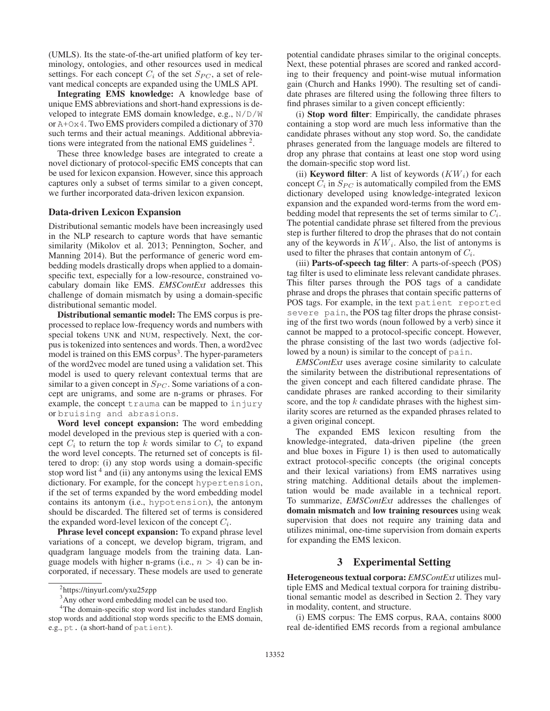(UMLS). Its the state-of-the-art unified platform of key terminology, ontologies, and other resources used in medical settings. For each concept  $C_i$  of the set  $S_{PC}$ , a set of relevant medical concepts are expanded using the UMLS API.

Integrating EMS knowledge: A knowledge base of unique EMS abbreviations and short-hand expressions is developed to integrate EMS domain knowledge, e.g., N/D/W or A+Ox4. Two EMS providers compiled a dictionary of 370 such terms and their actual meanings. Additional abbreviations were integrated from the national EMS guidelines  $2$ .

These three knowledge bases are integrated to create a novel dictionary of protocol-specific EMS concepts that can be used for lexicon expansion. However, since this approach captures only a subset of terms similar to a given concept, we further incorporated data-driven lexicon expansion.

#### Data-driven Lexicon Expansion

Distributional semantic models have been increasingly used in the NLP research to capture words that have semantic similarity (Mikolov et al. 2013; Pennington, Socher, and Manning 2014). But the performance of generic word embedding models drastically drops when applied to a domainspecific text, especially for a low-resource, constrained vocabulary domain like EMS. *EMSContExt* addresses this challenge of domain mismatch by using a domain-specific distributional semantic model.

Distributional semantic model: The EMS corpus is preprocessed to replace low-frequency words and numbers with special tokens UNK and NUM, respectively. Next, the corpus is tokenized into sentences and words. Then, a word2vec model is trained on this EMS corpus<sup>3</sup>. The hyper-parameters of the word2vec model are tuned using a validation set. This model is used to query relevant contextual terms that are similar to a given concept in  $S_{PC}$ . Some variations of a concept are unigrams, and some are n-grams or phrases. For example, the concept trauma can be mapped to injury or bruising and abrasions.

Word level concept expansion: The word embedding model developed in the previous step is queried with a concept  $C_i$  to return the top k words similar to  $C_i$  to expand the word level concepts. The returned set of concepts is filtered to drop: (i) any stop words using a domain-specific stop word list  $4$  and (ii) any antonyms using the lexical EMS dictionary. For example, for the concept hypertension, if the set of terms expanded by the word embedding model contains its antonym (i.e., hypotension), the antonym should be discarded. The filtered set of terms is considered the expanded word-level lexicon of the concept  $C_i$ .

Phrase level concept expansion: To expand phrase level variations of a concept, we develop bigram, trigram, and quadgram language models from the training data. Language models with higher n-grams (i.e.,  $n > 4$ ) can be incorporated, if necessary. These models are used to generate

potential candidate phrases similar to the original concepts. Next, these potential phrases are scored and ranked according to their frequency and point-wise mutual information gain (Church and Hanks 1990). The resulting set of candidate phrases are filtered using the following three filters to find phrases similar to a given concept efficiently:

(i) Stop word filter: Empirically, the candidate phrases containing a stop word are much less informative than the candidate phrases without any stop word. So, the candidate phrases generated from the language models are filtered to drop any phrase that contains at least one stop word using the domain-specific stop word list.

(ii) **Keyword filter**: A list of keywords  $(KW_i)$  for each concept  $C_i$  in  $S_{PC}$  is automatically compiled from the EMS dictionary developed using knowledge-integrated lexicon expansion and the expanded word-terms from the word embedding model that represents the set of terms similar to  $C_i$ . The potential candidate phrase set filtered from the previous step is further filtered to drop the phrases that do not contain any of the keywords in  $KW_i$ . Also, the list of antonyms is used to filter the phrases that contain antonym of  $C_i$ .

(iii) Parts-of-speech tag filter: A parts-of-speech (POS) tag filter is used to eliminate less relevant candidate phrases. This filter parses through the POS tags of a candidate phrase and drops the phrases that contain specific patterns of POS tags. For example, in the text patient reported severe pain, the POS tag filter drops the phrase consisting of the first two words (noun followed by a verb) since it cannot be mapped to a protocol-specific concept. However, the phrase consisting of the last two words (adjective followed by a noun) is similar to the concept of pain.

*EMSContExt* uses average cosine similarity to calculate the similarity between the distributional representations of the given concept and each filtered candidate phrase. The candidate phrases are ranked according to their similarity score, and the top  $k$  candidate phrases with the highest similarity scores are returned as the expanded phrases related to a given original concept.

The expanded EMS lexicon resulting from the knowledge-integrated, data-driven pipeline (the green and blue boxes in Figure 1) is then used to automatically extract protocol-specific concepts (the original concepts and their lexical variations) from EMS narratives using string matching. Additional details about the implementation would be made available in a technical report. To summarize, *EMSContExt* addresses the challenges of domain mismatch and low training resources using weak supervision that does not require any training data and utilizes minimal, one-time supervision from domain experts for expanding the EMS lexicon.

### 3 Experimental Setting

Heterogeneous textual corpora: *EMSContExt* utilizes multiple EMS and Medical textual corpora for training distributional semantic model as described in Section 2. They vary in modality, content, and structure.

(i) EMS corpus: The EMS corpus, RAA, contains 8000 real de-identified EMS records from a regional ambulance

<sup>2</sup> https://tinyurl.com/yxu25zpp

<sup>&</sup>lt;sup>3</sup>Any other word embedding model can be used too.

<sup>&</sup>lt;sup>4</sup>The domain-specific stop word list includes standard English stop words and additional stop words specific to the EMS domain, e.g., pt. (a short-hand of patient).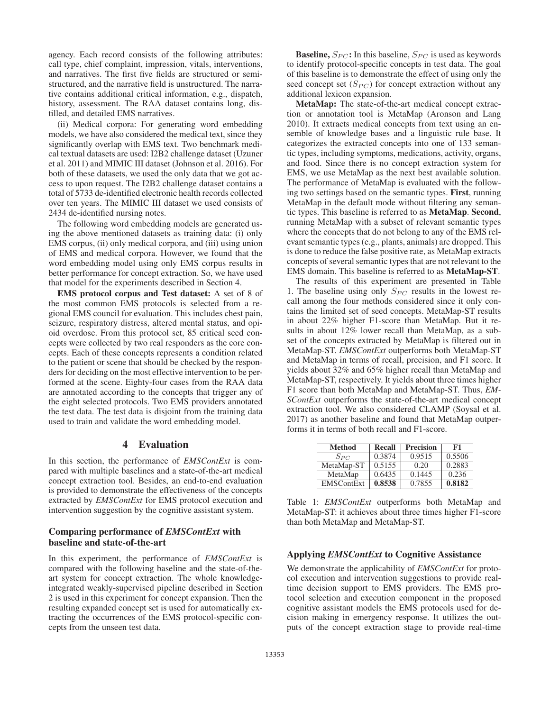agency. Each record consists of the following attributes: call type, chief complaint, impression, vitals, interventions, and narratives. The first five fields are structured or semistructured, and the narrative field is unstructured. The narrative contains additional critical information, e.g., dispatch, history, assessment. The RAA dataset contains long, distilled, and detailed EMS narratives.

(ii) Medical corpora: For generating word embedding models, we have also considered the medical text, since they significantly overlap with EMS text. Two benchmark medical textual datasets are used: I2B2 challenge dataset (Uzuner et al. 2011) and MIMIC III dataset (Johnson et al. 2016). For both of these datasets, we used the only data that we got access to upon request. The I2B2 challenge dataset contains a total of 5733 de-identified electronic health records collected over ten years. The MIMIC III dataset we used consists of 2434 de-identified nursing notes.

The following word embedding models are generated using the above mentioned datasets as training data: (i) only EMS corpus, (ii) only medical corpora, and (iii) using union of EMS and medical corpora. However, we found that the word embedding model using only EMS corpus results in better performance for concept extraction. So, we have used that model for the experiments described in Section 4.

EMS protocol corpus and Test dataset: A set of 8 of the most common EMS protocols is selected from a regional EMS council for evaluation. This includes chest pain, seizure, respiratory distress, altered mental status, and opioid overdose. From this protocol set, 85 critical seed concepts were collected by two real responders as the core concepts. Each of these concepts represents a condition related to the patient or scene that should be checked by the responders for deciding on the most effective intervention to be performed at the scene. Eighty-four cases from the RAA data are annotated according to the concepts that trigger any of the eight selected protocols. Two EMS providers annotated the test data. The test data is disjoint from the training data used to train and validate the word embedding model.

# 4 Evaluation

In this section, the performance of *EMSContExt* is compared with multiple baselines and a state-of-the-art medical concept extraction tool. Besides, an end-to-end evaluation is provided to demonstrate the effectiveness of the concepts extracted by *EMSContExt* for EMS protocol execution and intervention suggestion by the cognitive assistant system.

### Comparing performance of *EMSContExt* with baseline and state-of-the-art

In this experiment, the performance of *EMSContExt* is compared with the following baseline and the state-of-theart system for concept extraction. The whole knowledgeintegrated weakly-supervised pipeline described in Section 2 is used in this experiment for concept expansion. Then the resulting expanded concept set is used for automatically extracting the occurrences of the EMS protocol-specific concepts from the unseen test data.

**Baseline,**  $S_{PC}$ : In this baseline,  $S_{PC}$  is used as keywords to identify protocol-specific concepts in test data. The goal of this baseline is to demonstrate the effect of using only the seed concept set  $(S_{PC})$  for concept extraction without any additional lexicon expansion.

MetaMap: The state-of-the-art medical concept extraction or annotation tool is MetaMap (Aronson and Lang 2010). It extracts medical concepts from text using an ensemble of knowledge bases and a linguistic rule base. It categorizes the extracted concepts into one of 133 semantic types, including symptoms, medications, activity, organs, and food. Since there is no concept extraction system for EMS, we use MetaMap as the next best available solution. The performance of MetaMap is evaluated with the following two settings based on the semantic types. First, running MetaMap in the default mode without filtering any semantic types. This baseline is referred to as MetaMap. Second, running MetaMap with a subset of relevant semantic types where the concepts that do not belong to any of the EMS relevant semantic types (e.g., plants, animals) are dropped. This is done to reduce the false positive rate, as MetaMap extracts concepts of several semantic types that are not relevant to the EMS domain. This baseline is referred to as MetaMap-ST.

The results of this experiment are presented in Table 1. The baseline using only  $S_{PC}$  results in the lowest recall among the four methods considered since it only contains the limited set of seed concepts. MetaMap-ST results in about 22% higher F1-score than MetaMap. But it results in about 12% lower recall than MetaMap, as a subset of the concepts extracted by MetaMap is filtered out in MetaMap-ST. *EMSContExt* outperforms both MetaMap-ST and MetaMap in terms of recall, precision, and F1 score. It yields about 32% and 65% higher recall than MetaMap and MetaMap-ST, respectively. It yields about three times higher F1 score than both MetaMap and MetaMap-ST. Thus, *EM-SContExt* outperforms the state-of-the-art medical concept extraction tool. We also considered CLAMP (Soysal et al. 2017) as another baseline and found that MetaMap outperforms it in terms of both recall and F1-score.

| <b>Method</b>     | Recall | <b>Precision</b> | F1     |
|-------------------|--------|------------------|--------|
| $S_{PC}$          | 0.3874 | 0.9515           | 0.5506 |
| MetaMap-ST        | 0.5155 | 0.20             | 0.2883 |
| MetaMap           | 0.6435 | 0.1445           | 0.236  |
| <b>EMSContExt</b> | 0.8538 | 0.7855           | 0.8182 |

Table 1: *EMSContExt* outperforms both MetaMap and MetaMap-ST: it achieves about three times higher F1-score than both MetaMap and MetaMap-ST.

#### Applying *EMSContExt* to Cognitive Assistance

We demonstrate the applicability of *EMSContExt* for protocol execution and intervention suggestions to provide realtime decision support to EMS providers. The EMS protocol selection and execution component in the proposed cognitive assistant models the EMS protocols used for decision making in emergency response. It utilizes the outputs of the concept extraction stage to provide real-time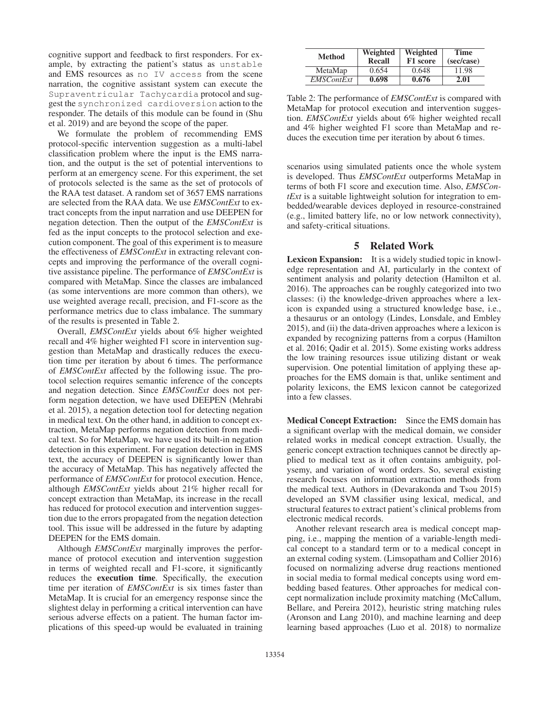cognitive support and feedback to first responders. For example, by extracting the patient's status as unstable and EMS resources as no IV access from the scene narration, the cognitive assistant system can execute the Supraventricular Tachycardia protocol and suggest the synchronized cardioversion action to the responder. The details of this module can be found in (Shu et al. 2019) and are beyond the scope of the paper.

We formulate the problem of recommending EMS protocol-specific intervention suggestion as a multi-label classification problem where the input is the EMS narration, and the output is the set of potential interventions to perform at an emergency scene. For this experiment, the set of protocols selected is the same as the set of protocols of the RAA test dataset. A random set of 3657 EMS narrations are selected from the RAA data. We use *EMSContExt* to extract concepts from the input narration and use DEEPEN for negation detection. Then the output of the *EMSContExt* is fed as the input concepts to the protocol selection and execution component. The goal of this experiment is to measure the effectiveness of *EMSContExt* in extracting relevant concepts and improving the performance of the overall cognitive assistance pipeline. The performance of *EMSContExt* is compared with MetaMap. Since the classes are imbalanced (as some interventions are more common than others), we use weighted average recall, precision, and F1-score as the performance metrics due to class imbalance. The summary of the results is presented in Table 2.

Overall, *EMSContExt* yields about 6% higher weighted recall and 4% higher weighted F1 score in intervention suggestion than MetaMap and drastically reduces the execution time per iteration by about 6 times. The performance of *EMSContExt* affected by the following issue. The protocol selection requires semantic inference of the concepts and negation detection. Since *EMSContExt* does not perform negation detection, we have used DEEPEN (Mehrabi et al. 2015), a negation detection tool for detecting negation in medical text. On the other hand, in addition to concept extraction, MetaMap performs negation detection from medical text. So for MetaMap, we have used its built-in negation detection in this experiment. For negation detection in EMS text, the accuracy of DEEPEN is significantly lower than the accuracy of MetaMap. This has negatively affected the performance of *EMSContExt* for protocol execution. Hence, although *EMSContExt* yields about 21% higher recall for concept extraction than MetaMap, its increase in the recall has reduced for protocol execution and intervention suggestion due to the errors propagated from the negation detection tool. This issue will be addressed in the future by adapting DEEPEN for the EMS domain.

Although *EMSContExt* marginally improves the performance of protocol execution and intervention suggestion in terms of weighted recall and F1-score, it significantly reduces the execution time. Specifically, the execution time per iteration of *EMSContExt* is six times faster than MetaMap. It is crucial for an emergency response since the slightest delay in performing a critical intervention can have serious adverse effects on a patient. The human factor implications of this speed-up would be evaluated in training

| <b>Method</b>     | Weighted<br><b>Recall</b> | Weighted<br>F1 score | <b>Time</b><br>(sec/case) |
|-------------------|---------------------------|----------------------|---------------------------|
| MetaMap           | 0.654                     | 0.648                | 11.98                     |
| <b>EMSContExt</b> | 0.698                     | 0.676                | 2.01                      |

Table 2: The performance of *EMSContExt* is compared with MetaMap for protocol execution and intervention suggestion. *EMSContExt* yields about 6% higher weighted recall and 4% higher weighted F1 score than MetaMap and reduces the execution time per iteration by about 6 times.

scenarios using simulated patients once the whole system is developed. Thus *EMSContExt* outperforms MetaMap in terms of both F1 score and execution time. Also, *EMSContExt* is a suitable lightweight solution for integration to embedded/wearable devices deployed in resource-constrained (e.g., limited battery life, no or low network connectivity), and safety-critical situations.

# 5 Related Work

Lexicon Expansion: It is a widely studied topic in knowledge representation and AI, particularly in the context of sentiment analysis and polarity detection (Hamilton et al. 2016). The approaches can be roughly categorized into two classes: (i) the knowledge-driven approaches where a lexicon is expanded using a structured knowledge base, i.e., a thesaurus or an ontology (Lindes, Lonsdale, and Embley 2015), and (ii) the data-driven approaches where a lexicon is expanded by recognizing patterns from a corpus (Hamilton et al. 2016; Qadir et al. 2015). Some existing works address the low training resources issue utilizing distant or weak supervision. One potential limitation of applying these approaches for the EMS domain is that, unlike sentiment and polarity lexicons, the EMS lexicon cannot be categorized into a few classes.

Medical Concept Extraction: Since the EMS domain has a significant overlap with the medical domain, we consider related works in medical concept extraction. Usually, the generic concept extraction techniques cannot be directly applied to medical text as it often contains ambiguity, polysemy, and variation of word orders. So, several existing research focuses on information extraction methods from the medical text. Authors in (Devarakonda and Tsou 2015) developed an SVM classifier using lexical, medical, and structural features to extract patient's clinical problems from electronic medical records.

Another relevant research area is medical concept mapping, i.e., mapping the mention of a variable-length medical concept to a standard term or to a medical concept in an external coding system. (Limsopatham and Collier 2016) focused on normalizing adverse drug reactions mentioned in social media to formal medical concepts using word embedding based features. Other approaches for medical concept normalization include proximity matching (McCallum, Bellare, and Pereira 2012), heuristic string matching rules (Aronson and Lang 2010), and machine learning and deep learning based approaches (Luo et al. 2018) to normalize